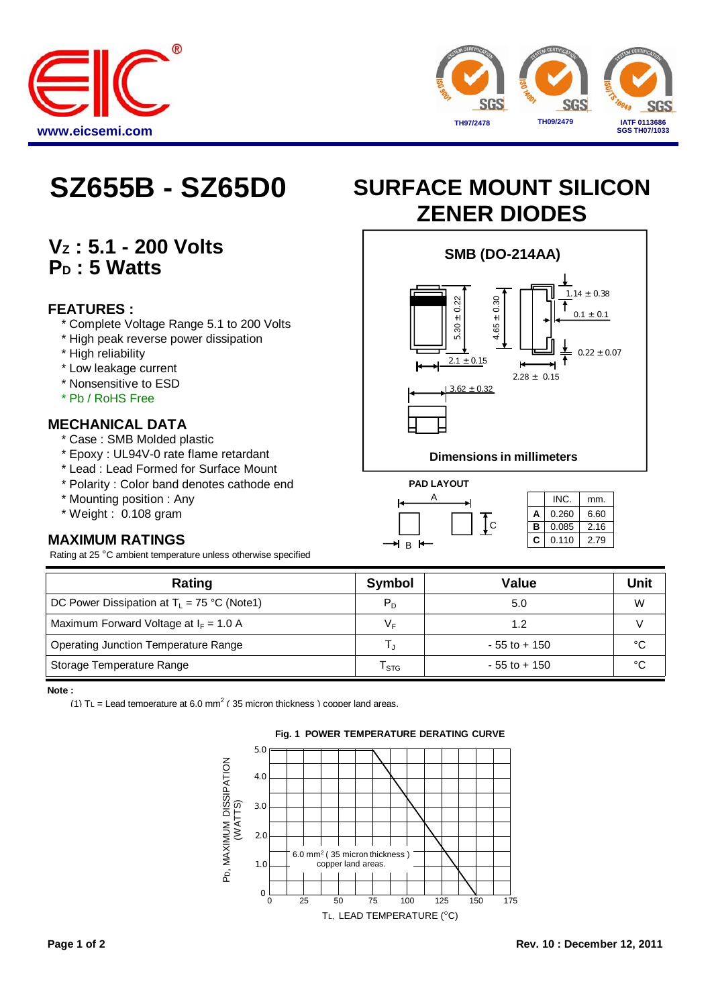



## **VZ : 5.1 - 200 Volts** P<sub>D</sub>: 5 Watts

### **FEATURES :**

- \* Complete Voltage Range 5.1 to 200 Volts
- \* High peak reverse power dissipation
- \* High reliability
- \* Low leakage current
- \* Nonsensitive to ESD
- \* Pb / RoHS Free

### **MECHANICAL DATA**

- \* Case : SMB Molded plastic
- \* Epoxy : UL94V-0 rate flame retardant
- \* Lead : Lead Formed for Surface Mount
- \* Polarity : Color band denotes cathode end **PAD LAYOUT**
- \* Mounting position : Any
- $*$  Weight : 0.108 gram

## **MAXIMUM RATINGS**

Rating at 25 °C ambient temperature unless otherwise specified

# **SZ655B - SZ65D0 SURFACE MOUNT SILICON ZENER DIODES**



### **Dimensions in millimeters**



|   | INC.  | mm.  |  |  |  |
|---|-------|------|--|--|--|
| A | 0.260 | 6.60 |  |  |  |
| в | 0.085 | 2.16 |  |  |  |
| С | 0.110 | 2.79 |  |  |  |

| Rating                                               | Symbol  | Value           | Unit |
|------------------------------------------------------|---------|-----------------|------|
| DC Power Dissipation at $T_L = 75 \degree C$ (Note1) | $P_{D}$ | 5.0             | W    |
| Maximum Forward Voltage at $I_F = 1.0 A$             | V⊧      | 1.2             |      |
| Operating Junction Temperature Range                 |         | $-55$ to $+150$ | °C   |
| Storage Temperature Range                            | l STG   | $-55$ to $+150$ | °C   |

**Note :** 

(1)  $TL =$  Lead temperature at 6.0 mm<sup>2</sup> (35 micron thickness) copper land areas.



### **Fig. 1 POWER TEMPERATURE DERATING CURVE**